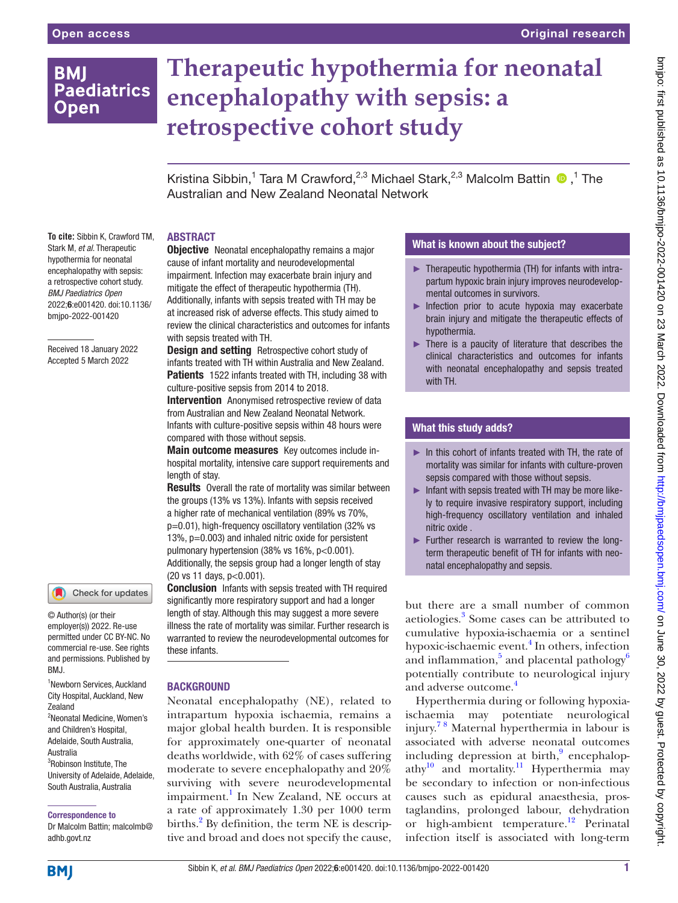# **BMI Paediatrics Open**

# **Therapeutic hypothermia for neonatal encephalopathy with sepsis: a retrospective cohort study**

Kristina Sibbin,<sup>1</sup> Tara M Crawford,<sup>2,3</sup> Michael Stark,<sup>2,3</sup> Malcolm Battin <sup>1</sup>,<sup>1</sup> The Australian and New Zealand Neonatal Network

## ABSTRACT

**To cite:** Sibbin K, Crawford TM, Stark M, *et al*. Therapeutic hypothermia for neonatal encephalopathy with sepsis: a retrospective cohort study. *BMJ Paediatrics Open* 2022;6:e001420. doi:10.1136/ bmjpo-2022-001420

Received 18 January 2022 Accepted 5 March 2022

# Check for updates

© Author(s) (or their employer(s)) 2022. Re-use permitted under CC BY-NC. No commercial re-use. See rights and permissions. Published by RM<sub>J</sub>

1 Newborn Services, Auckland City Hospital, Auckland, New Zealand 2 Neonatal Medicine, Women's and Children's Hospital, Adelaide, South Australia, Australia <sup>3</sup>Robinson Institute, The University of Adelaide, Adelaide, South Australia, Australia

Correspondence to

Dr Malcolm Battin; malcolmb@ adhb.govt.nz

**Objective** Neonatal encephalopathy remains a major cause of infant mortality and neurodevelopmental impairment. Infection may exacerbate brain injury and mitigate the effect of therapeutic hypothermia (TH). Additionally, infants with sepsis treated with TH may be at increased risk of adverse effects. This study aimed to review the clinical characteristics and outcomes for infants with sepsis treated with TH.

Design and setting Retrospective cohort study of infants treated with TH within Australia and New Zealand. Patients 1522 infants treated with TH, including 38 with culture-positive sepsis from 2014 to 2018.

**Intervention** Anonymised retrospective review of data from Australian and New Zealand Neonatal Network. Infants with culture-positive sepsis within 48 hours were compared with those without sepsis.

**Main outcome measures** Key outcomes include inhospital mortality, intensive care support requirements and length of stay.

**Results** Overall the rate of mortality was similar between the groups (13% vs 13%). Infants with sepsis received a higher rate of mechanical ventilation (89% vs 70%, p=0.01), high-frequency oscillatory ventilation (32% vs 13%, p=0.003) and inhaled nitric oxide for persistent pulmonary hypertension (38% vs 16%, p<0.001). Additionally, the sepsis group had a longer length of stay (20 vs 11 days, p<0.001).

**Conclusion** Infants with sepsis treated with TH required significantly more respiratory support and had a longer length of stay. Although this may suggest a more severe illness the rate of mortality was similar. Further research is warranted to review the neurodevelopmental outcomes for these infants.

### **BACKGROUND**

Neonatal encephalopathy (NE), related to intrapartum hypoxia ischaemia, remains a major global health burden. It is responsible for approximately one-quarter of neonatal deaths worldwide, with 62% of cases suffering moderate to severe encephalopathy and 20% surviving with severe neurodevelopmental impairment.<sup>1</sup> In New Zealand, NE occurs at a rate of approximately 1.30 per 1000 term births.<sup>2</sup> By definition, the term NE is descriptive and broad and does not specify the cause,

# What is known about the subject?

- ► Therapeutic hypothermia (TH) for infants with intrapartum hypoxic brain injury improves neurodevelopmental outcomes in survivors.
- ► Infection prior to acute hypoxia may exacerbate brain injury and mitigate the therapeutic effects of hypothermia.
- ► There is a paucity of literature that describes the clinical characteristics and outcomes for infants with neonatal encephalopathy and sepsis treated with TH.

# What this study adds?

- ► In this cohort of infants treated with TH, the rate of mortality was similar for infants with culture-proven sepsis compared with those without sepsis.
- $\blacktriangleright$  Infant with sepsis treated with TH may be more likely to require invasive respiratory support, including high-frequency oscillatory ventilation and inhaled nitric oxide .
- ► Further research is warranted to review the longterm therapeutic benefit of TH for infants with neonatal encephalopathy and sepsis.

but there are a small number of common aetiologies.<sup>3</sup> Some cases can be attributed to cumulative hypoxia-ischaemia or a sentinel hypoxic-ischaemic event.<sup>4</sup> In others, infection and inflammation,<sup>5</sup> and placental pathology<sup>6</sup> potentially contribute to neurological injury and adverse outcome.<sup>[4](#page-6-0)</sup>

Hyperthermia during or following hypoxiaischaemia may potentiate neurological injury. [7 8](#page-6-1) Maternal hyperthermia in labour is associated with adverse neonatal outcomes including depression at birth,<sup>[9](#page-6-2)</sup> encephalopathy $^{10}$  $^{10}$  $^{10}$  and mortality.<sup>11</sup> Hyperthermia may be secondary to infection or non-infectious causes such as epidural anaesthesia, prostaglandins, prolonged labour, dehydration or high-ambient temperature.<sup>[12](#page-6-5)</sup> Perinatal infection itself is associated with long-term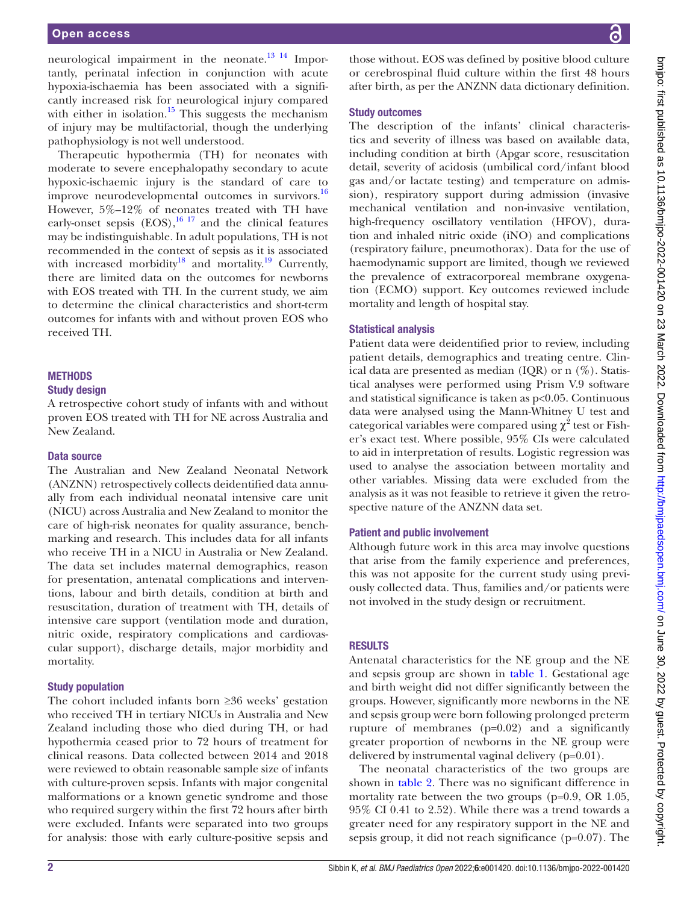neurological impairment in the neonate.<sup>[13 14](#page-6-6)</sup> Importantly, perinatal infection in conjunction with acute hypoxia-ischaemia has been associated with a significantly increased risk for neurological injury compared with either in isolation.<sup>15</sup> This suggests the mechanism of injury may be multifactorial, though the underlying pathophysiology is not well understood.

Therapeutic hypothermia (TH) for neonates with moderate to severe encephalopathy secondary to acute hypoxic-ischaemic injury is the standard of care to improve neurodevelopmental outcomes in survivors.<sup>[16](#page-6-8)</sup> However, 5%–12% of neonates treated with TH have early-onset sepsis  $(EOS),^{16\ 17}$  and the clinical features may be indistinguishable. In adult populations, TH is not recommended in the context of sepsis as it is associated with increased morbidity<sup>18</sup> and mortality.<sup>19</sup> Currently, there are limited data on the outcomes for newborns with EOS treated with TH. In the current study, we aim to determine the clinical characteristics and short-term outcomes for infants with and without proven EOS who received TH.

#### **METHODS**

#### Study design

A retrospective cohort study of infants with and without proven EOS treated with TH for NE across Australia and New Zealand.

#### Data source

The Australian and New Zealand Neonatal Network (ANZNN) retrospectively collects deidentified data annually from each individual neonatal intensive care unit (NICU) across Australia and New Zealand to monitor the care of high-risk neonates for quality assurance, benchmarking and research. This includes data for all infants who receive TH in a NICU in Australia or New Zealand. The data set includes maternal demographics, reason for presentation, antenatal complications and interventions, labour and birth details, condition at birth and resuscitation, duration of treatment with TH, details of intensive care support (ventilation mode and duration, nitric oxide, respiratory complications and cardiovascular support), discharge details, major morbidity and mortality.

#### Study population

The cohort included infants born ≥36 weeks' gestation who received TH in tertiary NICUs in Australia and New Zealand including those who died during TH, or had hypothermia ceased prior to 72 hours of treatment for clinical reasons. Data collected between 2014 and 2018 were reviewed to obtain reasonable sample size of infants with culture-proven sepsis. Infants with major congenital malformations or a known genetic syndrome and those who required surgery within the first 72 hours after birth were excluded. Infants were separated into two groups for analysis: those with early culture-positive sepsis and

those without. EOS was defined by positive blood culture or cerebrospinal fluid culture within the first 48 hours after birth, as per the ANZNN data dictionary definition.

#### Study outcomes

The description of the infants' clinical characteristics and severity of illness was based on available data, including condition at birth (Apgar score, resuscitation detail, severity of acidosis (umbilical cord/infant blood gas and/or lactate testing) and temperature on admission), respiratory support during admission (invasive mechanical ventilation and non-invasive ventilation, high-frequency oscillatory ventilation (HFOV), duration and inhaled nitric oxide (iNO) and complications (respiratory failure, pneumothorax). Data for the use of haemodynamic support are limited, though we reviewed the prevalence of extracorporeal membrane oxygenation (ECMO) support. Key outcomes reviewed include mortality and length of hospital stay.

#### Statistical analysis

Patient data were deidentified prior to review, including patient details, demographics and treating centre. Clinical data are presented as median (IQR) or n (%). Statistical analyses were performed using Prism V.9 software and statistical significance is taken as p<0.05. Continuous data were analysed using the Mann-Whitney U test and categorical variables were compared using  $\chi^2$  test or Fisher's exact test. Where possible, 95% CIs were calculated to aid in interpretation of results. Logistic regression was used to analyse the association between mortality and other variables. Missing data were excluded from the analysis as it was not feasible to retrieve it given the retrospective nature of the ANZNN data set.

#### Patient and public involvement

Although future work in this area may involve questions that arise from the family experience and preferences, this was not apposite for the current study using previously collected data. Thus, families and/or patients were not involved in the study design or recruitment.

#### RESULTS

Antenatal characteristics for the NE group and the NE and sepsis group are shown in [table](#page-2-0) 1. Gestational age and birth weight did not differ significantly between the groups. However, significantly more newborns in the NE and sepsis group were born following prolonged preterm rupture of membranes (p=0.02) and a significantly greater proportion of newborns in the NE group were delivered by instrumental vaginal delivery (p=0.01).

The neonatal characteristics of the two groups are shown in [table](#page-3-0) 2. There was no significant difference in mortality rate between the two groups (p=0.9, OR 1.05, 95% CI 0.41 to 2.52). While there was a trend towards a greater need for any respiratory support in the NE and sepsis group, it did not reach significance (p=0.07). The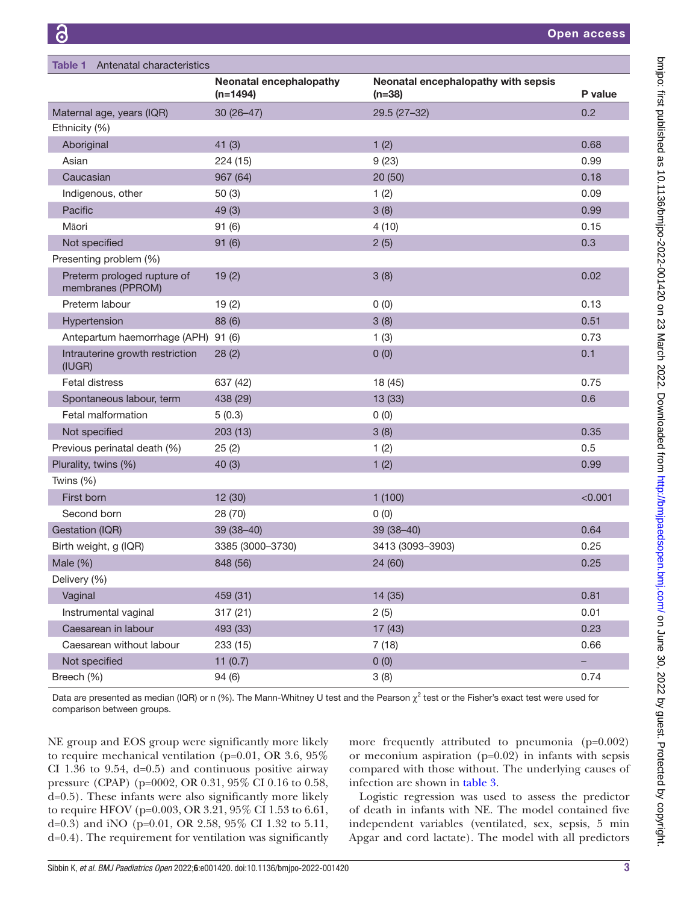<span id="page-2-0"></span>

| Antenatal characteristics<br>Table 1             |                                       |                                                 |                          |
|--------------------------------------------------|---------------------------------------|-------------------------------------------------|--------------------------|
|                                                  | Neonatal encephalopathy<br>$(n=1494)$ | Neonatal encephalopathy with sepsis<br>$(n=38)$ | P value                  |
| Maternal age, years (IQR)                        | $30(26-47)$                           | $29.5(27-32)$                                   | 0.2                      |
| Ethnicity (%)                                    |                                       |                                                 |                          |
| Aboriginal                                       | 41(3)                                 | 1(2)                                            | 0.68                     |
| Asian                                            | 224 (15)                              | 9(23)                                           | 0.99                     |
| Caucasian                                        | 967 (64)                              | 20(50)                                          | 0.18                     |
| Indigenous, other                                | 50(3)                                 | 1(2)                                            | 0.09                     |
| Pacific                                          | 49(3)                                 | 3(8)                                            | 0.99                     |
| Māori                                            | 91(6)                                 | 4(10)                                           | 0.15                     |
| Not specified                                    | 91(6)                                 | 2(5)                                            | 0.3                      |
| Presenting problem (%)                           |                                       |                                                 |                          |
| Preterm prologed rupture of<br>membranes (PPROM) | 19(2)                                 | 3(8)                                            | 0.02                     |
| Preterm labour                                   | 19(2)                                 | 0(0)                                            | 0.13                     |
| Hypertension                                     | 88 (6)                                | 3(8)                                            | 0.51                     |
| Antepartum haemorrhage (APH) 91 (6)              |                                       | 1(3)                                            | 0.73                     |
| Intrauterine growth restriction<br>(IUGR)        | 28(2)                                 | 0(0)                                            | 0.1                      |
| <b>Fetal distress</b>                            | 637 (42)                              | 18 (45)                                         | 0.75                     |
| Spontaneous labour, term                         | 438 (29)                              | 13(33)                                          | 0.6                      |
| Fetal malformation                               | 5(0.3)                                | 0(0)                                            |                          |
| Not specified                                    | 203(13)                               | 3(8)                                            | 0.35                     |
| Previous perinatal death (%)                     | 25(2)                                 | 1(2)                                            | 0.5                      |
| Plurality, twins (%)                             | 40(3)                                 | 1(2)                                            | 0.99                     |
| Twins (%)                                        |                                       |                                                 |                          |
| First born                                       | 12 (30)                               | 1(100)                                          | < 0.001                  |
| Second born                                      | 28 (70)                               | 0(0)                                            |                          |
| Gestation (IQR)                                  | 39 (38-40)                            | $39(38 - 40)$                                   | 0.64                     |
| Birth weight, g (IQR)                            | 3385 (3000-3730)                      | 3413 (3093-3903)                                | 0.25                     |
| Male $(\%)$                                      | 848 (56)                              | 24 (60)                                         | 0.25                     |
| Delivery (%)                                     |                                       |                                                 |                          |
| Vaginal                                          | 459 (31)                              | 14 (35)                                         | 0.81                     |
| Instrumental vaginal                             | 317(21)                               | 2(5)                                            | 0.01                     |
| Caesarean in labour                              | 493 (33)                              | 17(43)                                          | 0.23                     |
| Caesarean without labour                         | 233 (15)                              | 7(18)                                           | 0.66                     |
| Not specified                                    | 11 $(0.7)$                            | 0(0)                                            | $\overline{\phantom{a}}$ |
| Breech (%)                                       | 94 (6)                                | 3(8)                                            | 0.74                     |

Data are presented as median (IQR) or n (%). The Mann-Whitney U test and the Pearson  $\chi^2$  test or the Fisher's exact test were used for comparison between groups.

NE group and EOS group were significantly more likely to require mechanical ventilation (p=0.01, OR 3.6, 95% CI 1.36 to 9.54,  $d=0.5$ ) and continuous positive airway pressure (CPAP) (p=0002, OR 0.31, 95% CI 0.16 to 0.58, d=0.5). These infants were also significantly more likely to require HFOV (p=0.003, OR 3.21, 95% CI 1.53 to 6.61, d=0.3) and iNO (p=0.01, OR 2.58, 95% CI 1.32 to 5.11, d=0.4). The requirement for ventilation was significantly

more frequently attributed to pneumonia (p=0.002) or meconium aspiration (p=0.02) in infants with sepsis compared with those without. The underlying causes of infection are shown in [table](#page-4-0) 3.

Logistic regression was used to assess the predictor of death in infants with NE. The model contained five independent variables (ventilated, sex, sepsis, 5 min Apgar and cord lactate). The model with all predictors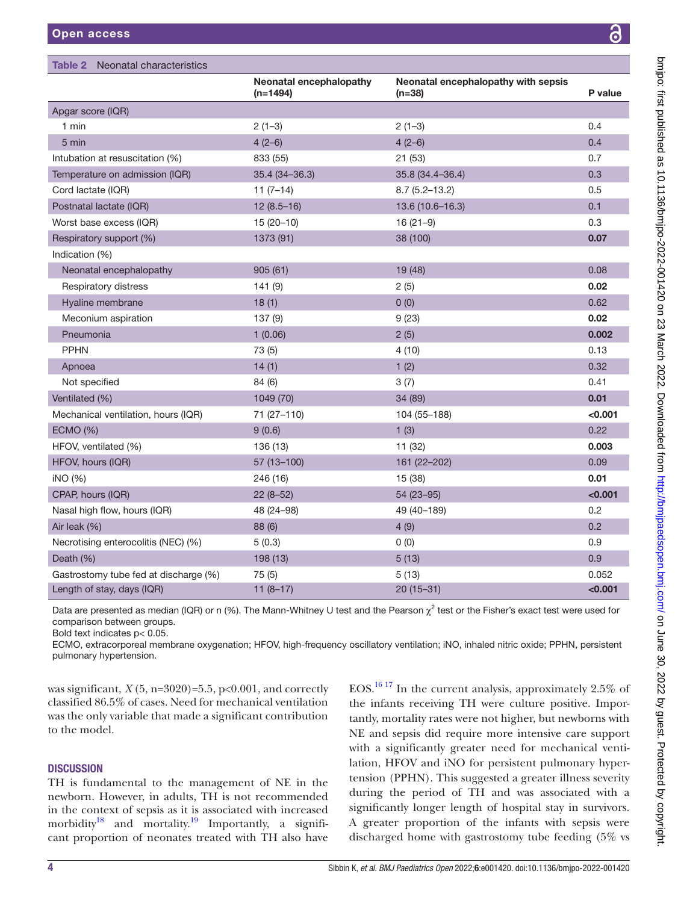<span id="page-3-0"></span>

| Open access                         |                                       |                                                 | 8       |  |
|-------------------------------------|---------------------------------------|-------------------------------------------------|---------|--|
| Table 2<br>Neonatal characteristics |                                       |                                                 |         |  |
|                                     | Neonatal encephalopathy<br>$(n=1494)$ | Neonatal encephalopathy with sepsis<br>$(n=38)$ | P value |  |
| Apgar score (IQR)                   |                                       |                                                 |         |  |
| 1 min                               | $2(1-3)$                              | $2(1-3)$                                        | 0.4     |  |
| 5 min                               | $4(2-6)$                              | $4(2-6)$                                        | 0.4     |  |
| Intubation at resuscitation (%)     | 833 (55)                              | 21(53)                                          | 0.7     |  |
| Temperature on admission (IQR)      | $35.4(34 - 36.3)$                     | 35.8 (34.4-36.4)                                | 0.3     |  |
| Cord lactate (IQR)                  | $11(7-14)$                            | $8.7(5.2 - 13.2)$                               | 0.5     |  |
| Postnatal lactate (IQR)             | $12(8.5-16)$                          | 13.6 (10.6-16.3)                                | 0.1     |  |
| Worst base excess (IQR)             | $15(20-10)$                           | $16(21-9)$                                      | 0.3     |  |
| Respiratory support (%)             | 1373 (91)                             | 38 (100)                                        | 0.07    |  |
| Indication (%)                      |                                       |                                                 |         |  |
| Neonatal encephalopathy             | 905(61)                               | 19 (48)                                         | 0.08    |  |
| Respiratory distress                | 141(9)                                | 2(5)                                            | 0.02    |  |
| Hyaline membrane                    | 18(1)                                 | 0(0)                                            | 0.62    |  |
| Meconium aspiration                 | 137(9)                                | 9(23)                                           | 0.02    |  |
| Pneumonia                           | 1(0.06)                               | 2(5)                                            | 0.002   |  |
| <b>PPHN</b>                         | 73 (5)                                | 4(10)                                           | 0.13    |  |
| Apnoea                              | 14(1)                                 | 1(2)                                            | 0.32    |  |
| Not specified                       | 84 (6)                                | 3(7)                                            | 0.41    |  |
| Ventilated (%)                      | 1049 (70)                             | 34 (89)                                         | 0.01    |  |
| Mechanical ventilation, hours (IQR) | 71 (27-110)                           | 104 (55-188)                                    | < 0.001 |  |
| <b>ECMO (%)</b>                     | 9(0.6)                                | 1(3)                                            | 0.22    |  |
| HFOV, ventilated (%)                | 136 (13)                              | 11 (32)                                         | 0.003   |  |

Data are presented as median (IQR) or n (%). The Mann-Whitney U test and the Pearson  $\chi^2$  test or the Fisher's exact test were used for comparison between groups.

HFOV, hours (IQR) 57 (13–100) 161 (22–202) 0.09 iNO (%) 246 (16) 15 (38) 0.01 CPAP, hours (IQR) 22 (8–52) 54 (23–95) 54 (23–95) 54 (23–95) Nasal high flow, hours (IQR) 48 (24–98) 49 (40–189) 0.2 Air leak (%) 88 (6) 4 (9) 0.2 Necrotising enterocolitis (NEC)  $\binom{96}{2}$  5 (0.3) 0 (0) 0.9 Death (%) 198 (13) 5 (13) 0.9 Gastrostomy tube fed at discharge (%)  $75(5)$  5 (13) 5 (13) 0.052 Length of stay, days (IQR) 11 (8–17) 20 (15–31) 20 (15–31) <0.001

Bold text indicates p< 0.05.

ECMO, extracorporeal membrane oxygenation; HFOV, high-frequency oscillatory ventilation; iNO, inhaled nitric oxide; PPHN, persistent pulmonary hypertension.

was significant,  $X(5, n=3020)=5.5$ ,  $p<0.001$ , and correctly classified 86.5% of cases. Need for mechanical ventilation was the only variable that made a significant contribution to the model.

#### **DISCUSSION**

TH is fundamental to the management of NE in the newborn. However, in adults, TH is not recommended in the context of sepsis as it is associated with increased morbidity<sup>[18](#page-6-9)</sup> and mortality.<sup>19</sup> Importantly, a significant proportion of neonates treated with TH also have EOS[.16 17](#page-6-8) In the current analysis, approximately 2.5% of the infants receiving TH were culture positive. Importantly, mortality rates were not higher, but newborns with NE and sepsis did require more intensive care support with a significantly greater need for mechanical ventilation, HFOV and iNO for persistent pulmonary hypertension (PPHN). This suggested a greater illness severity during the period of TH and was associated with a significantly longer length of hospital stay in survivors. A greater proportion of the infants with sepsis were discharged home with gastrostomy tube feeding (5% vs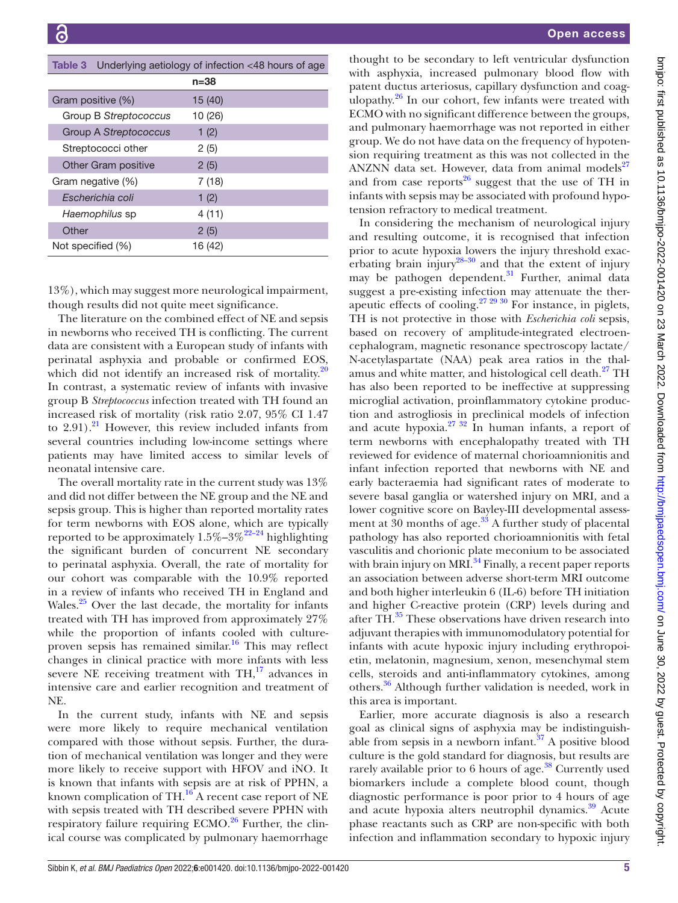<span id="page-4-0"></span>

| Underlying aetiology of infection <48 hours of age<br>Table 3 |          |  |
|---------------------------------------------------------------|----------|--|
|                                                               | $n = 38$ |  |
| Gram positive (%)                                             | 15 (40)  |  |
| Group B Streptococcus                                         | 10 (26)  |  |
| Group A Streptococcus                                         | 1(2)     |  |
| Streptococci other                                            | 2(5)     |  |
| <b>Other Gram positive</b>                                    | 2(5)     |  |
| Gram negative (%)                                             | 7 (18)   |  |
| Escherichia coli                                              | 1(2)     |  |
| Haemophilus sp                                                | 4 (11)   |  |
| Other                                                         | 2(5)     |  |
| Not specified (%)                                             | 16 (42)  |  |

13%), which may suggest more neurological impairment, though results did not quite meet significance.

The literature on the combined effect of NE and sepsis in newborns who received TH is conflicting. The current data are consistent with a European study of infants with perinatal asphyxia and probable or confirmed EOS, which did not identify an increased risk of mortality. $20$ In contrast, a systematic review of infants with invasive group B *Streptococcus* infection treated with TH found an increased risk of mortality (risk ratio 2.07, 95% CI 1.47 to  $2.91$ ).<sup>21</sup> However, this review included infants from several countries including low-income settings where patients may have limited access to similar levels of neonatal intensive care.

The overall mortality rate in the current study was 13% and did not differ between the NE group and the NE and sepsis group. This is higher than reported mortality rates for term newborns with EOS alone, which are typically reported to be approximately  $1.5\% - 3\% = 22 - 24$  highlighting the significant burden of concurrent NE secondary to perinatal asphyxia. Overall, the rate of mortality for our cohort was comparable with the 10.9% reported in a review of infants who received TH in England and Wales. $25$  Over the last decade, the mortality for infants treated with TH has improved from approximately 27% while the proportion of infants cooled with cultureproven sepsis has remained similar. [16](#page-6-8) This may reflect changes in clinical practice with more infants with less severe NE receiving treatment with  $TH<sub>1</sub><sup>17</sup>$  advances in intensive care and earlier recognition and treatment of NE.

In the current study, infants with NE and sepsis were more likely to require mechanical ventilation compared with those without sepsis. Further, the duration of mechanical ventilation was longer and they were more likely to receive support with HFOV and iNO. It is known that infants with sepsis are at risk of PPHN, a known complication of  $TH<sup>16</sup>$  A recent case report of NE with sepsis treated with TH described severe PPHN with respiratory failure requiring  $ECMO<sup>26</sup>$  Further, the clinical course was complicated by pulmonary haemorrhage

thought to be secondary to left ventricular dysfunction with asphyxia, increased pulmonary blood flow with patent ductus arteriosus, capillary dysfunction and coagulopathy. $26$  In our cohort, few infants were treated with ECMO with no significant difference between the groups, and pulmonary haemorrhage was not reported in either group. We do not have data on the frequency of hypotension requiring treatment as this was not collected in the ANZNN data set. However, data from animal models $^{27}$ and from case reports $^{26}$  suggest that the use of TH in infants with sepsis may be associated with profound hypotension refractory to medical treatment.

In considering the mechanism of neurological injury and resulting outcome, it is recognised that infection prior to acute hypoxia lowers the injury threshold exacerbating brain injury<sup>28–30</sup> and that the extent of injury may be pathogen dependent.<sup>31</sup> Further, animal data suggest a pre-existing infection may attenuate the ther-apeutic effects of cooling.<sup>[27 29 30](#page-6-17)</sup> For instance, in piglets, TH is not protective in those with *Escherichia coli* sepsis, based on recovery of amplitude-integrated electroencephalogram, magnetic resonance spectroscopy lactate/ N-acetylaspartate (NAA) peak area ratios in the thalamus and white matter, and histological cell death.<sup>27</sup> TH has also been reported to be ineffective at suppressing microglial activation, proinflammatory cytokine production and astrogliosis in preclinical models of infection and acute hypoxia. $27 \frac{32}{10}$  In human infants, a report of term newborns with encephalopathy treated with TH reviewed for evidence of maternal chorioamnionitis and infant infection reported that newborns with NE and early bacteraemia had significant rates of moderate to severe basal ganglia or watershed injury on MRI, and a lower cognitive score on Bayley-III developmental assessment at 30 months of age. $33$  A further study of placental pathology has also reported chorioamnionitis with fetal vasculitis and chorionic plate meconium to be associated with brain injury on MRI $^{34}$  Finally, a recent paper reports an association between adverse short-term MRI outcome and both higher interleukin 6 (IL-6) before TH initiation and higher C-reactive protein (CRP) levels during and after TH.<sup>35</sup> These observations have driven research into adjuvant therapies with immunomodulatory potential for infants with acute hypoxic injury including erythropoietin, melatonin, magnesium, xenon, mesenchymal stem cells, steroids and anti-inflammatory cytokines, among others.[36](#page-6-23) Although further validation is needed, work in this area is important.

Earlier, more accurate diagnosis is also a research goal as clinical signs of asphyxia may be indistinguishable from sepsis in a newborn infant. $37$  A positive blood culture is the gold standard for diagnosis, but results are rarely available prior to 6 hours of age.<sup>38</sup> Currently used biomarkers include a complete blood count, though diagnostic performance is poor prior to 4 hours of age and acute hypoxia alters neutrophil dynamics.<sup>39</sup> Acute phase reactants such as CRP are non-specific with both infection and inflammation secondary to hypoxic injury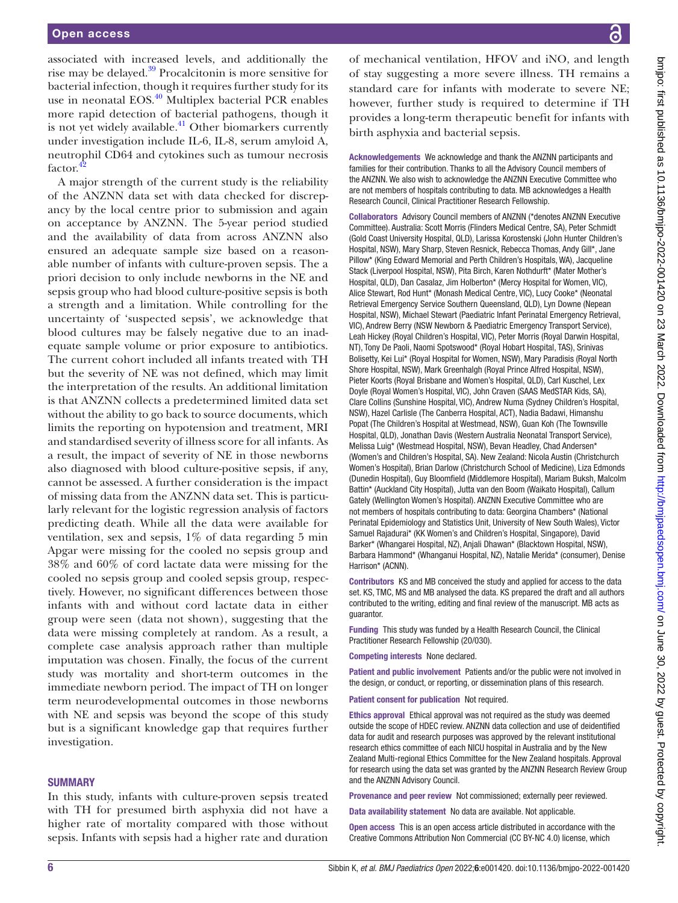associated with increased levels, and additionally the rise may be delayed[.39](#page-6-26) Procalcitonin is more sensitive for bacterial infection, though it requires further study for its use in neonatal EOS.<sup>40</sup> Multiplex bacterial PCR enables more rapid detection of bacterial pathogens, though it is not yet widely available.<sup>41</sup> Other biomarkers currently under investigation include IL-6, IL-8, serum amyloid A, neutrophil CD64 and cytokines such as tumour necrosis factor.<sup>4</sup>

A major strength of the current study is the reliability of the ANZNN data set with data checked for discrepancy by the local centre prior to submission and again on acceptance by ANZNN. The 5-year period studied and the availability of data from across ANZNN also ensured an adequate sample size based on a reasonable number of infants with culture-proven sepsis. The a priori decision to only include newborns in the NE and sepsis group who had blood culture-positive sepsis is both a strength and a limitation. While controlling for the uncertainty of 'suspected sepsis', we acknowledge that blood cultures may be falsely negative due to an inadequate sample volume or prior exposure to antibiotics. The current cohort included all infants treated with TH but the severity of NE was not defined, which may limit the interpretation of the results. An additional limitation is that ANZNN collects a predetermined limited data set without the ability to go back to source documents, which limits the reporting on hypotension and treatment, MRI and standardised severity of illness score for all infants. As a result, the impact of severity of NE in those newborns also diagnosed with blood culture-positive sepsis, if any, cannot be assessed. A further consideration is the impact of missing data from the ANZNN data set. This is particularly relevant for the logistic regression analysis of factors predicting death. While all the data were available for ventilation, sex and sepsis, 1% of data regarding 5 min Apgar were missing for the cooled no sepsis group and 38% and 60% of cord lactate data were missing for the cooled no sepsis group and cooled sepsis group, respectively. However, no significant differences between those infants with and without cord lactate data in either group were seen (data not shown), suggesting that the data were missing completely at random. As a result, a complete case analysis approach rather than multiple imputation was chosen. Finally, the focus of the current study was mortality and short-term outcomes in the immediate newborn period. The impact of TH on longer term neurodevelopmental outcomes in those newborns with NE and sepsis was beyond the scope of this study but is a significant knowledge gap that requires further investigation.

#### **SUMMARY**

In this study, infants with culture-proven sepsis treated with TH for presumed birth asphyxia did not have a higher rate of mortality compared with those without sepsis. Infants with sepsis had a higher rate and duration

of mechanical ventilation, HFOV and iNO, and length of stay suggesting a more severe illness. TH remains a standard care for infants with moderate to severe NE; however, further study is required to determine if TH provides a long-term therapeutic benefit for infants with birth asphyxia and bacterial sepsis.

Acknowledgements We acknowledge and thank the ANZNN participants and families for their contribution. Thanks to all the Advisory Council members of the ANZNN. We also wish to acknowledge the ANZNN Executive Committee who are not members of hospitals contributing to data. MB acknowledges a Health Research Council, Clinical Practitioner Research Fellowship.

Collaborators Advisory Council members of ANZNN (\*denotes ANZNN Executive Committee). Australia: Scott Morris (Flinders Medical Centre, SA), Peter Schmidt (Gold Coast University Hospital, QLD), Larissa Korostenski (John Hunter Children's Hospital, NSW), Mary Sharp, Steven Resnick, Rebecca Thomas, Andy Gill\*, Jane Pillow\* (King Edward Memorial and Perth Children's Hospitals, WA), Jacqueline Stack (Liverpool Hospital, NSW), Pita Birch, Karen Nothdurft\* (Mater Mother's Hospital, QLD), Dan Casalaz, Jim Holberton\* (Mercy Hospital for Women, VIC), Alice Stewart, Rod Hunt\* (Monash Medical Centre, VIC), Lucy Cooke\* (Neonatal Retrieval Emergency Service Southern Queensland, QLD), Lyn Downe (Nepean Hospital, NSW), Michael Stewart (Paediatric Infant Perinatal Emergency Retrieval, VIC), Andrew Berry (NSW Newborn & Paediatric Emergency Transport Service), Leah Hickey (Royal Children's Hospital, VIC), Peter Morris (Royal Darwin Hospital, NT), Tony De Paoli, Naomi Spotswood\* (Royal Hobart Hospital, TAS), Srinivas Bolisetty, Kei Lui\* (Royal Hospital for Women, NSW), Mary Paradisis (Royal North Shore Hospital, NSW), Mark Greenhalgh (Royal Prince Alfred Hospital, NSW), Pieter Koorts (Royal Brisbane and Women's Hospital, QLD), Carl Kuschel, Lex Doyle (Royal Women's Hospital, VIC), John Craven (SAAS MedSTAR Kids, SA), Clare Collins (Sunshine Hospital, VIC), Andrew Numa (Sydney Children's Hospital, NSW), Hazel Carlisle (The Canberra Hospital, ACT), Nadia Badawi, Himanshu Popat (The Children's Hospital at Westmead, NSW), Guan Koh (The Townsville Hospital, QLD), Jonathan Davis (Western Australia Neonatal Transport Service), Melissa Luig\* (Westmead Hospital, NSW), Bevan Headley, Chad Andersen\* (Women's and Children's Hospital, SA). New Zealand: Nicola Austin (Christchurch Women's Hospital), Brian Darlow (Christchurch School of Medicine), Liza Edmonds (Dunedin Hospital), Guy Bloomfield (Middlemore Hospital), Mariam Buksh, Malcolm Battin\* (Auckland City Hospital), Jutta van den Boom (Waikato Hospital), Callum Gately (Wellington Women's Hospital). ANZNN Executive Committee who are not members of hospitals contributing to data: Georgina Chambers\* (National Perinatal Epidemiology and Statistics Unit, University of New South Wales), Victor Samuel Rajadurai\* (KK Women's and Children's Hospital, Singapore), David Barker\* (Whangarei Hospital, NZ), Anjali Dhawan\* (Blacktown Hospital, NSW), Barbara Hammond\* (Whanganui Hospital, NZ), Natalie Merida\* (consumer), Denise Harrison\* (ACNN).

Contributors KS and MB conceived the study and applied for access to the data set. KS, TMC, MS and MB analysed the data. KS prepared the draft and all authors contributed to the writing, editing and final review of the manuscript. MB acts as guarantor.

Funding This study was funded by a Health Research Council, the Clinical Practitioner Research Fellowship (20/030).

Competing interests None declared.

Patient and public involvement Patients and/or the public were not involved in the design, or conduct, or reporting, or dissemination plans of this research.

Patient consent for publication Not required.

Ethics approval Ethical approval was not required as the study was deemed outside the scope of HDEC review. ANZNN data collection and use of deidentified data for audit and research purposes was approved by the relevant institutional research ethics committee of each NICU hospital in Australia and by the New Zealand Multi-regional Ethics Committee for the New Zealand hospitals. Approval for research using the data set was granted by the ANZNN Research Review Group and the ANZNN Advisory Council.

Provenance and peer review Not commissioned; externally peer reviewed.

Data availability statement No data are available. Not applicable.

Open access This is an open access article distributed in accordance with the Creative Commons Attribution Non Commercial (CC BY-NC 4.0) license, which